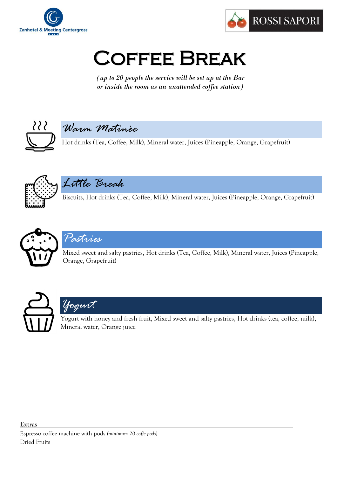



# Coffee Break

*(up to 20 people the service will be set up at the Bar or inside the room as an unattended coffee station)*





Hot drinks (Tea, Coffee, Milk), Mineral water, Juices (Pineapple, Orange, Grapefruit)



### *Little Break*

Biscuits, Hot drinks (Tea, Coffee, Milk), Mineral water, Juices (Pineapple, Orange, Grapefruit)



#### *Pastries*

Mixed sweet and salty pastries, Hot drinks (Tea, Coffee, Milk), Mineral water, Juices (Pineapple, Orange, Grapefruit)





Yogurt with honey and fresh fruit, Mixed sweet and salty pastries, Hot drinks (tea, coffee, milk), Mineral water, Orange juice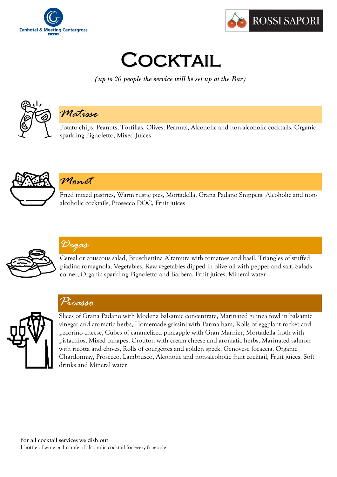



### **COCKTAIL**

*(up to 20 people the service will be set up at the Bar)*



#### *Matisse*

Potato chips, Peanuts, Tortillas, Olives, Peanuts, Alcoholic and non-alcoholic cocktails, Organic sparkling Pignoletto, Mixed Juices



#### *Monet*

Fried mixed pastries, Warm rustic pies, Mortadella, Grana Padano Snippets, Alcoholic and nonalcoholic cocktails, Prosecco DOC, Fruit juices



#### *Degas*

Cereal or couscous salad, Bruschettina Altamura with tomatoes and basil, Triangles of stuffed piadina romagnola, Vegetables, Raw vegetables dipped in olive oil with pepper and salt, Salads corner, Organic sparkling Pignoletto and Barbera, Fruit juices, Mineral water



### *Picasso*

Slices of Grana Padano with Modena balsamic concentrate, Marinated guinea fowl in balsamic vinegar and aromatic herbs, Homemade grissini with Parma ham, Rolls of eggplant rocket and pecorino cheese, Cubes of caramelized pineapple with Gran Marnier, Mortadella froth with pistachios, Mixed canapés, Crouton with cream cheese and aromatic herbs, Marinated salmon with ricotta and chives, Rolls of courgettes and golden speck, Genovese focaccia. Organic Chardonnay, Prosecco, Lambrusco, Alcoholic and non-alcoholic fruit cocktail, Fruit juices, Soft drinks and Mineral water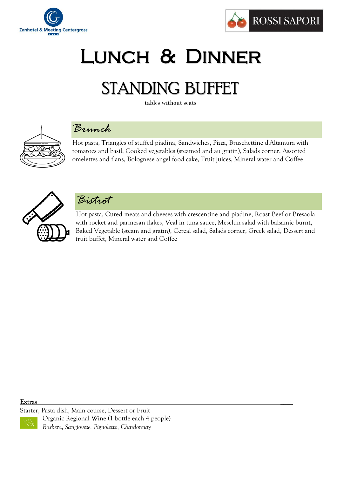



# Lunch & Dinner

# STANDING BUFFET

tables without seats



#### *Brunch*

Hot pasta, Triangles of stuffed piadina, Sandwiches, Pizza, Bruschettine d'Altamura with tomatoes and basil, Cooked vegetables (steamed and au gratin), Salads corner, Assorted omelettes and flans, Bolognese angel food cake, Fruit juices, Mineral water and Coffee



*Bistrot*

 Hot pasta, Cured meats and cheeses with crescentine and piadine, Roast Beef or Bresaola with rocket and parmesan flakes, Veal in tuna sauce, Mesclun salad with balsamic burnt, Baked Vegetable (steam and gratin), Cereal salad, Salads corner, Greek salad, Dessert and fruit buffet, Mineral water and Coffee

**Extras \_\_\_\_**

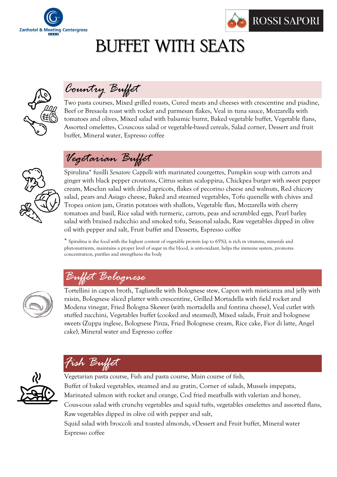



## BUFFET WITH SEATS



### *Country Buffet*

Two pasta courses, Mixed grilled roasts, Cured meats and cheeses with crescentine and piadine, Beef or Bresaola roast with rocket and parmesan flakes, Veal in tuna sauce, Mozzarella with tomatoes and olives, Mixed salad with balsamic burnt, Baked vegetable buffet, Vegetable flans, Assorted omelettes, Couscous salad or vegetable-based cereals, Salad corner, Dessert and fruit buffet, Mineral water, Espresso coffee





Spirulina\* fusilli *Senatore Cappelli* with marinated courgettes, Pumpkin soup with carrots and ginger with black pepper croutons, Citrus seitan scaloppina, Chickpea burger with sweet pepper cream, Mesclun salad with dried apricots, flakes of pecorino cheese and walnuts, Red chicory salad, pears and Asiago cheese, Baked and steamed vegetables, Tofu quenelle with chives and Tropea onion jam, Gratin potatoes with shallots, Vegetable flan, Mozzarella with cherry tomatoes and basil, Rice salad with turmeric, carrots, peas and scrambled eggs, Pearl barley salad with braised radicchio and smoked tofu, Seasonal salads, Raw vegetables dipped in olive oil with pepper and salt, Fruit buffet and Desserts, Espresso coffee

\* Spirulina is the food with the highest content of vegetable protein (up to 65%), is rich in vitamins, minerals and phytonutrients, maintains a proper level of sugar in the blood, is anti-oxidant, helps the immune system, promotes concentration, purifies and strengthens the body



*Buffet Bolognese*

Tortellini in capon broth, Tagliatelle with Bolognese stew, Capon with misticanza and jelly with raisin, Bolognese sliced platter with crescentine, Grilled Mortadella with field rocket and Modena vinegar, Fried Bologna Skewer (with mortadella and fontina cheese), Veal cutlet with stuffed zucchini, Vegetables buffet (cooked and steamed), Mixed salads, Fruit and bolognese sweets (Zuppa inglese, Bolognese Pinza, Fried Bolognese cream, Rice cake, Fior di latte, Angel cake), Mineral water and Espresso coffee



*Fish Buffet*

Vegetarian pasta course, Fish and pasta course, Main course of fish, Buffet of baked vegetables, steamed and au gratin, Corner of salads, Mussels impepata, Marinated salmon with rocket and orange, Cod fried meatballs with valerian and honey, Cous-cous salad with crunchy vegetables and squid tufts, vegetables omelettes and assorted flans, Raw vegetables dipped in olive oil with pepper and salt,

Squid salad with broccoli and toasted almonds, vDessert and Fruit buffet, Mineral water Espresso coffee